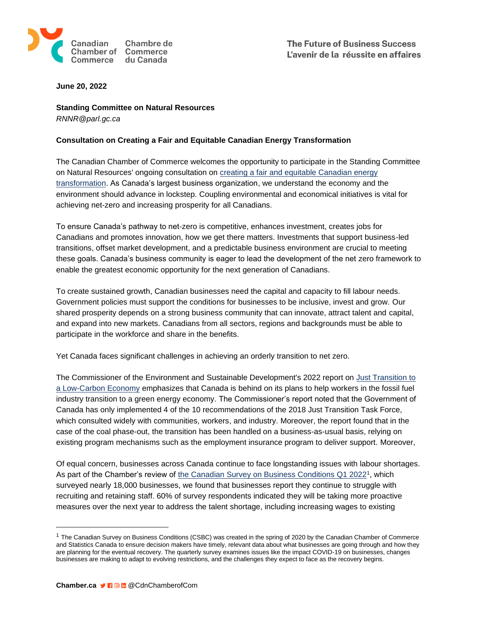

### **June 20, 2022**

**Standing Committee on Natural Resources** *RNNR@parl.gc.ca*

## **Consultation on Creating a Fair and Equitable Canadian Energy Transformation**

The Canadian Chamber of Commerce welcomes the opportunity to participate in the Standing Committee on Natural Resources' ongoing consultation on [creating a fair and equitable Canadian energy](https://www.ourcommons.ca/Committees/en/RNNR/StudyActivity?studyActivityId=11579182)  [transformation.](https://www.ourcommons.ca/Committees/en/RNNR/StudyActivity?studyActivityId=11579182) As Canada's largest business organization, we understand the economy and the environment should advance in lockstep. Coupling environmental and economical initiatives is vital for achieving net-zero and increasing prosperity for all Canadians.

To ensure Canada's pathway to net-zero is competitive, enhances investment, creates jobs for Canadians and promotes innovation, how we get there matters. Investments that support business-led transitions, offset market development, and a predictable business environment are crucial to meeting these goals. Canada's business community is eager to lead the development of the net zero framework to enable the greatest economic opportunity for the next generation of Canadians.

To create sustained growth, Canadian businesses need the capital and capacity to fill labour needs. Government policies must support the conditions for businesses to be inclusive, invest and grow. Our shared prosperity depends on a strong business community that can innovate, attract talent and capital, and expand into new markets. Canadians from all sectors, regions and backgrounds must be able to participate in the workforce and share in the benefits.

Yet Canada faces significant challenges in achieving an orderly transition to net zero.

The Commissioner of the Environment and Sustainable Development's 2022 report on [Just Transition to](https://www.oag-bvg.gc.ca/internet/English/parl_cesd_202204_01_e_44021.html)  [a Low-Carbon Economy](https://www.oag-bvg.gc.ca/internet/English/parl_cesd_202204_01_e_44021.html) emphasizes that Canada is behind on its plans to help workers in the fossil fuel industry transition to a green energy economy. The Commissioner's report noted that the Government of Canada has only implemented 4 of the 10 recommendations of the 2018 Just Transition Task Force, which consulted widely with communities, workers, and industry. Moreover, the report found that in the case of the coal phase-out, the transition has been handled on a business-as-usual basis, relying on existing program mechanisms such as the employment insurance program to deliver support. Moreover,

Of equal concern, businesses across Canada continue to face longstanding issues with labour shortages. As part of the Chamber's review of <u>[the Canadian Survey on Business Conditions Q1 2022](https://chamber.ca/wp-content/uploads/2022/03/BDL_CSBC_Insights_2022_Q1_Final_EN_ST.pdf)</u>1, which surveyed nearly 18,000 businesses, we found that businesses report they continue to struggle with recruiting and retaining staff. 60% of survey respondents indicated they will be taking more proactive measures over the next year to address the talent shortage, including increasing wages to existing

<sup>&</sup>lt;sup>1</sup> The Canadian Survey on Business Conditions (CSBC) was created in the spring of 2020 by the Canadian Chamber of Commerce and Statistics Canada to ensure decision makers have timely, relevant data about what businesses are going through and how they are planning for the eventual recovery. The quarterly survey examines issues like the impact COVID-19 on businesses, changes businesses are making to adapt to evolving restrictions, and the challenges they expect to face as the recovery begins.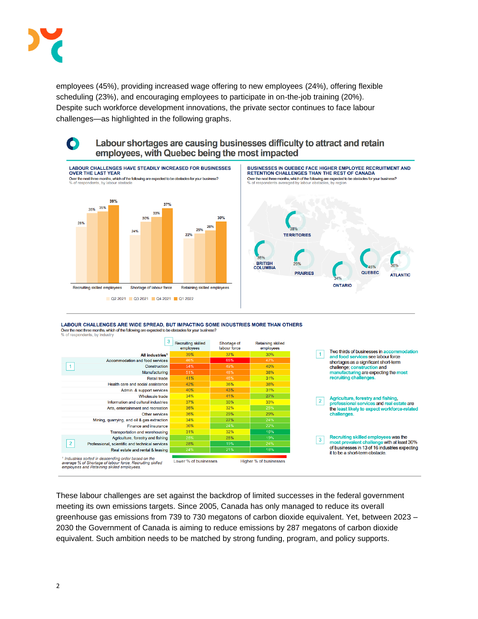

 $\bullet$ 

employees (45%), providing increased wage offering to new employees (24%), offering flexible scheduling (23%), and encouraging employees to participate in on-the-job training (20%). Despite such workforce development innovations, the private sector continues to face labour challenges—as highlighted in the following graphs.

# Labour shortages are causing businesses difficulty to attract and retain employees, with Quebec being the most impacted



#### LABOUR CHALLENGES ARE WIDE SPREAD, BUT IMPACTING SOME INDUSTRIES MORE THAN OTHERS Over the next three months, which of the following are expected to be obstacles for your business' of respondents, by industry

|                                                                                                                                                                            | 3                                               | <b>Recruiting skilled</b><br>employees | Shortage of<br>labour force | <b>Retaining skilled</b><br>employees |                | Two thirds of businesses in accommodation                                                                                                                               |
|----------------------------------------------------------------------------------------------------------------------------------------------------------------------------|-------------------------------------------------|----------------------------------------|-----------------------------|---------------------------------------|----------------|-------------------------------------------------------------------------------------------------------------------------------------------------------------------------|
|                                                                                                                                                                            | All industries <sup>1</sup>                     | 39%                                    | 37%                         | 30%                                   |                | and food services see labour force                                                                                                                                      |
|                                                                                                                                                                            | Accommodation and food services                 | 46%                                    | 65%                         | 47%                                   |                | shortages as a significant short-term<br>challenge; construction and                                                                                                    |
|                                                                                                                                                                            | Construction                                    | 54%                                    | 49%                         | 40%                                   |                |                                                                                                                                                                         |
|                                                                                                                                                                            | Manufacturing                                   | 51%                                    | 48%                         | 38%                                   |                | manufacturing are expecting the most                                                                                                                                    |
|                                                                                                                                                                            | <b>Retail trade</b>                             | 41%                                    | 46%                         | 31%                                   |                | recruiting challenges.                                                                                                                                                  |
|                                                                                                                                                                            | Health care and social assistance               | 42%                                    | 36%                         | 38%                                   |                |                                                                                                                                                                         |
|                                                                                                                                                                            | Admin. & support services                       | 40%                                    | 43%                         | 31%                                   | $\overline{2}$ | Agriculture, forestry and fishing,<br>professional services and real estate are<br>the least likely to expect workforce-related                                         |
|                                                                                                                                                                            | Wholesale trade                                 | 34%                                    | 41%                         | 27%                                   |                |                                                                                                                                                                         |
|                                                                                                                                                                            | Information and cultural industries             | 37%                                    | 30%                         | 33%                                   |                |                                                                                                                                                                         |
|                                                                                                                                                                            | Arts, entertainment and recreation              | 36%                                    | 32%                         | 25%                                   |                |                                                                                                                                                                         |
|                                                                                                                                                                            | Other services                                  | 36%                                    | 29%                         | 29%                                   |                | challenges.                                                                                                                                                             |
|                                                                                                                                                                            | Mining, quarrying, and oil & gas extraction     | 34%                                    | 27%                         | 24%                                   |                |                                                                                                                                                                         |
|                                                                                                                                                                            | Finance and insurance                           | 36%                                    | 24%                         | 22%                                   |                |                                                                                                                                                                         |
|                                                                                                                                                                            | Transportation and warehousing                  | 31%                                    | 32%                         | 16%                                   |                |                                                                                                                                                                         |
| $\overline{2}$                                                                                                                                                             | Agriculture, forestry and fishing               | 25%                                    | 28%                         | 19%                                   | $\mathbf{3}$   | Recruiting skilled employees was the<br>most prevalent challenge with at least 30%<br>of businesses in 13 of 16 industries expecting<br>it to be a short-term obstacle. |
|                                                                                                                                                                            | Professional, scientific and technical services | 28%                                    | 19%                         | 24%                                   |                |                                                                                                                                                                         |
|                                                                                                                                                                            | Real estate and rental & leasing                | 24%                                    | 21%                         | 18%                                   |                |                                                                                                                                                                         |
| <sup>1</sup> Industries sorted in descending order based on the<br>average % of Shortage of labour force, Recruiting skilled<br>employees and Retaining skilled employees. |                                                 | Lower % of businesses                  |                             | Higher % of businesses                |                |                                                                                                                                                                         |

These labour challenges are set against the backdrop of limited successes in the federal government meeting its own emissions targets. Since 2005, Canada has only managed to reduce its overall greenhouse gas emissions from 739 to 730 megatons of carbon dioxide equivalent. Yet, between 2023 – 2030 the Government of Canada is aiming to reduce emissions by 287 megatons of carbon dioxide equivalent. Such ambition needs to be matched by strong funding, program, and policy supports.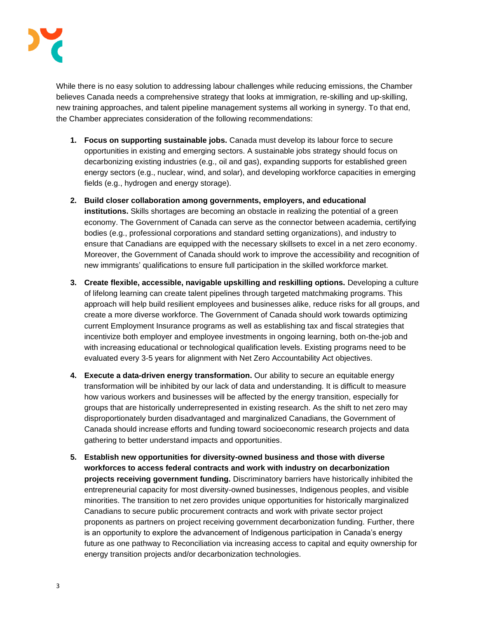

While there is no easy solution to addressing labour challenges while reducing emissions, the Chamber believes Canada needs a comprehensive strategy that looks at immigration, re-skilling and up-skilling, new training approaches, and talent pipeline management systems all working in synergy. To that end, the Chamber appreciates consideration of the following recommendations:

- **1. Focus on supporting sustainable jobs.** Canada must develop its labour force to secure opportunities in existing and emerging sectors. A sustainable jobs strategy should focus on decarbonizing existing industries (e.g., oil and gas), expanding supports for established green energy sectors (e.g., nuclear, wind, and solar), and developing workforce capacities in emerging fields (e.g., hydrogen and energy storage).
- **2. Build closer collaboration among governments, employers, and educational institutions.** Skills shortages are becoming an obstacle in realizing the potential of a green economy. The Government of Canada can serve as the connector between academia, certifying bodies (e.g., professional corporations and standard setting organizations), and industry to ensure that Canadians are equipped with the necessary skillsets to excel in a net zero economy. Moreover, the Government of Canada should work to improve the accessibility and recognition of new immigrants' qualifications to ensure full participation in the skilled workforce market.
- **3. Create flexible, accessible, navigable upskilling and reskilling options.** Developing a culture of lifelong learning can create talent pipelines through targeted matchmaking programs. This approach will help build resilient employees and businesses alike, reduce risks for all groups, and create a more diverse workforce. The Government of Canada should work towards optimizing current Employment Insurance programs as well as establishing tax and fiscal strategies that incentivize both employer and employee investments in ongoing learning, both on-the-job and with increasing educational or technological qualification levels. Existing programs need to be evaluated every 3-5 years for alignment with Net Zero Accountability Act objectives.
- **4. Execute a data-driven energy transformation.** Our ability to secure an equitable energy transformation will be inhibited by our lack of data and understanding. It is difficult to measure how various workers and businesses will be affected by the energy transition, especially for groups that are historically underrepresented in existing research. As the shift to net zero may disproportionately burden disadvantaged and marginalized Canadians, the Government of Canada should increase efforts and funding toward socioeconomic research projects and data gathering to better understand impacts and opportunities.
- **5. Establish new opportunities for diversity-owned business and those with diverse workforces to access federal contracts and work with industry on decarbonization projects receiving government funding.** Discriminatory barriers have historically inhibited the entrepreneurial capacity for most diversity-owned businesses, Indigenous peoples, and visible minorities. The transition to net zero provides unique opportunities for historically marginalized Canadians to secure public procurement contracts and work with private sector project proponents as partners on project receiving government decarbonization funding. Further, there is an opportunity to explore the advancement of Indigenous participation in Canada's energy future as one pathway to Reconciliation via increasing access to capital and equity ownership for energy transition projects and/or decarbonization technologies.